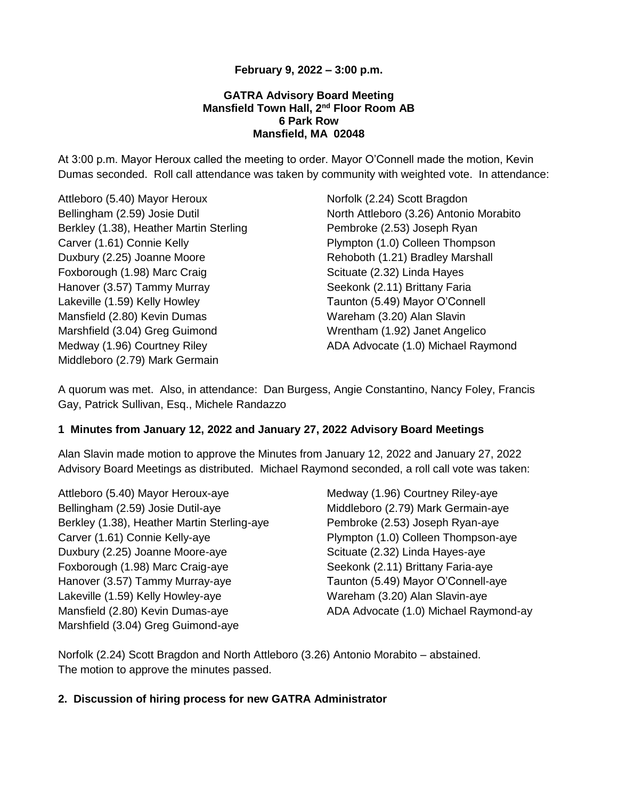# **February 9, 2022 – 3:00 p.m.**

### **GATRA Advisory Board Meeting Mansfield Town Hall, 2nd Floor Room AB 6 Park Row Mansfield, MA 02048**

At 3:00 p.m. Mayor Heroux called the meeting to order. Mayor O'Connell made the motion, Kevin Dumas seconded. Roll call attendance was taken by community with weighted vote. In attendance:

Attleboro (5.40) Mayor Heroux Bellingham (2.59) Josie Dutil Berkley (1.38), Heather Martin Sterling Carver (1.61) Connie Kelly Duxbury (2.25) Joanne Moore Foxborough (1.98) Marc Craig Hanover (3.57) Tammy Murray Lakeville (1.59) Kelly Howley Mansfield (2.80) Kevin Dumas Marshfield (3.04) Greg Guimond Medway (1.96) Courtney Riley Middleboro (2.79) Mark Germain

Norfolk (2.24) Scott Bragdon North Attleboro (3.26) Antonio Morabito Pembroke (2.53) Joseph Ryan Plympton (1.0) Colleen Thompson Rehoboth (1.21) Bradley Marshall Scituate (2.32) Linda Hayes Seekonk (2.11) Brittany Faria Taunton (5.49) Mayor O'Connell Wareham (3.20) Alan Slavin Wrentham (1.92) Janet Angelico ADA Advocate (1.0) Michael Raymond

A quorum was met. Also, in attendance: Dan Burgess, Angie Constantino, Nancy Foley, Francis Gay, Patrick Sullivan, Esq., Michele Randazzo

## **1 Minutes from January 12, 2022 and January 27, 2022 Advisory Board Meetings**

Alan Slavin made motion to approve the Minutes from January 12, 2022 and January 27, 2022 Advisory Board Meetings as distributed. Michael Raymond seconded, a roll call vote was taken:

Attleboro (5.40) Mayor Heroux-aye Bellingham (2.59) Josie Dutil-aye Berkley (1.38), Heather Martin Sterling-aye Carver (1.61) Connie Kelly-aye Duxbury (2.25) Joanne Moore-aye Foxborough (1.98) Marc Craig-aye Hanover (3.57) Tammy Murray-aye Lakeville (1.59) Kelly Howley-aye Mansfield (2.80) Kevin Dumas-aye Marshfield (3.04) Greg Guimond-aye

Medway (1.96) Courtney Riley-aye Middleboro (2.79) Mark Germain-aye Pembroke (2.53) Joseph Ryan-aye Plympton (1.0) Colleen Thompson-aye Scituate (2.32) Linda Hayes-aye Seekonk (2.11) Brittany Faria-aye Taunton (5.49) Mayor O'Connell-aye Wareham (3.20) Alan Slavin-aye ADA Advocate (1.0) Michael Raymond-ay

Norfolk (2.24) Scott Bragdon and North Attleboro (3.26) Antonio Morabito – abstained. The motion to approve the minutes passed.

#### **2. Discussion of hiring process for new GATRA Administrator**